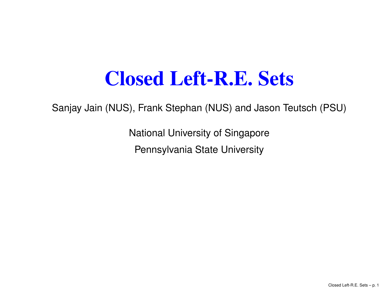### Closed Left-R.E. Sets

Sanjay Jain (NUS), Frank Stephan (NUS) and Jason Teutsch (PSU)

National University of SingaporePennsylvania State University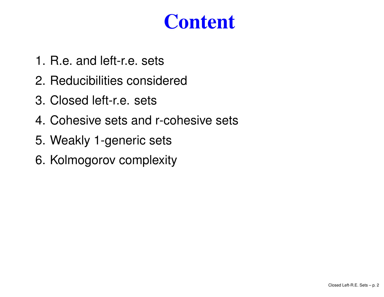## **Content**

- 1. R.e. and left-r.e. sets
- 2. Reducibilities considered
- 3. Closed left-r.e. sets
- 4. Cohesive sets and r-cohesive sets
- 5. Weakly 1-generic sets
- 6. Kolmogorov complexity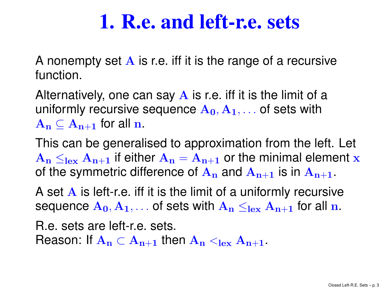### 1. R.e. and left-r.e. sets

A nonempty set A is r.e. iff it is the range of a recursive<br>function function.

Alternatively, one can say  $\bf{A}$  is r.e. iff it is the limit of a uniformly requirely accurate  $\bf{A}$ uniformly recursive sequence  $\mathbf{A_{0}}, \mathbf{A_{1}}, \ldots$  of sets with  $\rm {\bf A_n}\subseteq \rm {\bf A_{n+1}}$  $_1$  for all  $n$ .

 This can be generalised to approximation from the left. Let  $\rm A_n\leq_{lex}\rm A_{n+1}$ <u>At tha cummatric dittaranca at A</u>  $_1$  if either  $\mathbf{A_n} = \mathbf{A_{n+1}}$ 1 or the minimal element x of the symmetric difference of  ${\bf A_n}$  $_{\rm n}$  and  ${\rm A}_{\rm n+1}$  $_1$  is in  $A_{n+1}$ .

A set A is left-r.e. iff it is the limit of a uniformly recursive<br>sequence A  $\sim$  A set sots with A  $\sim$  set A set for all p sequence  $\mathbf{A_0}, \mathbf{A_1}, \dots$  of sets with  $\mathbf{A_n} \leq_{\mathbf{lex}} \mathbf{A_{n+1}}$  $_1$  for all  $_n$ .

R.e. sets are left-r.e. sets. Reason: If  $\mathbf{A_n} \subset \mathbf{A_{n+1}}$  $_1$  then  $\rm A_n<_{lex}A_{n+1}$ .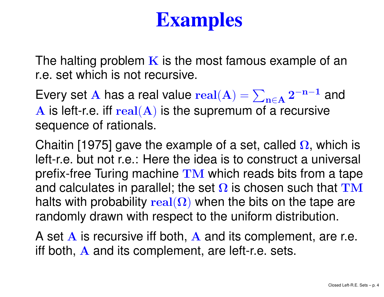# Examples

The halting problem  $\bf K$  is the most famous example of an<br>r.e. set which is not reqursive r.e. set which is not recursive.

Every set A has a real value  $real(A) = \sum_{n \in A} 2^{-n-1}$  and  $\Lambda$  is loft r.o. iff  $real(A)$  is the supremum of a requisive  $\bf{A}$  is left-r.e. iff  $\bf{real}(\bf{A})$  is the supremum of a recursive and interest set  $\bf{A}$ sequence of rationals.

Chaitin [1975] gave the example of a set, called  $\Omega$ , which is left-r.e. but not r.e.: Here the idea is to construct <sup>a</sup> universal prefix-free Turing machine  $\mathbf{T}\mathbf{M}$  which reads bits from a tape<br>and calculates in parallel: the set <u>Q</u> is chosen such that  $\mathbf{TM}$ and calculates in parallel; the set  $\Omega$  is chosen such that  $\textcolor{red}{\text{TM}}$ halts with probability  $\mathbf{real}(\mathbf{\Omega})$  when the bits on the tape are randomly drawn with respect to the uniform distribution.

A set A is recursive iff both, A and its complement, are r.e.<br>iff both A and its complement, are left r.e. sets. iff both,  ${\bf A}$  and its complement, are left-r.e. sets.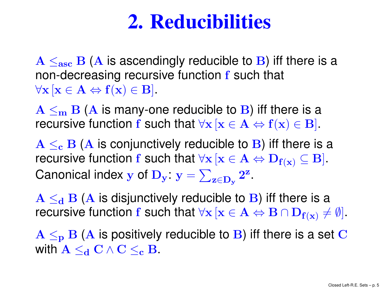## 2. Reducibilities

 $A \leq_{\textbf{asc}} B(A)$  is ascendingly reducible to  $B$ ) iff there is a non-decreasing requireive function  $f$  such that non-dor non-decreasing recursive function  ${\bf f}$  such that  $\forall \mathbf{x} \left[ \mathbf{x} \in \mathbf{A} \Leftrightarrow \mathbf{f(x)} \in \mathbf{B} \right].$ 

 $A \leq_m B$  (A is many-one reducible to B) iff there is a require to  $B$ ) and  $B$ . . . . . . . . recursive function  $\mathbf f$  such that  $\forall \mathbf x \, [\mathbf x \in \mathbf A \Leftrightarrow \mathbf f(\mathbf x) \in \mathbf B]$ .

 $A \leq_{c} B(A$  is conjunctively reducible to B) iff there is a require that  $A \leq_{c} B(A)$  is  $A \cap B$ recursive function  $\mathbf f$  such that  $\forall \mathbf x \, [\mathbf x \in \mathbf A \Leftrightarrow \mathbf D_{\mathbf f(\mathbf x)} \subseteq \mathbf B]$ .  $\mathbf{r} \circ \mathbf{r} \mathbf{D} \quad \mathbf{r} = \nabla \quad \mathbf{r} \mathbf{Z}$  $_{\mathbf{f}(\mathbf{x})}\subseteq\mathbf{B}].$ Canonical index  $\mathbf y$  of  $\mathbf D_{\mathbf y}\colon \mathbf y =$  $\sum_{\mathbf{z}\in \mathbf{D}_\mathbf{y}}$  $\bf 2^z$ .

 $A \leq_d B$  (A is disjunctively reducible to B) iff there is a measure is a measure is a mean of  $A$ racure recursive function  $\mathbf f$  such that  $\forall \mathbf x \, [\mathbf x \in \mathbf A \Leftrightarrow \mathbf B \cap \mathbf D_{\mathbf f(\mathbf x)}$  :  $_{\mathbf{f}(\mathbf{x})}\neq\emptyset].$ 

 $A \leq_{\bf p} B$  (A is positively reducible to B) iff there is a set C<br>with  $A \leq C$  of  $C \leq B$ with  $\mathbf{A}\leq_{\mathbf{d}}\mathbf{C}\wedge\mathbf{C}\leq_{\mathbf{c}}\mathbf{B}.$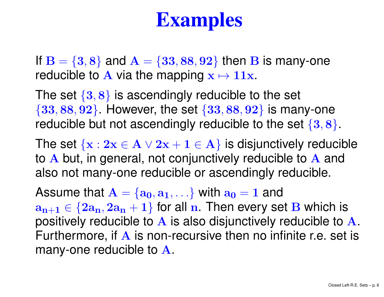# Examples

If  $B = \{3, 8\}$  and  $A = \{33, 88, 92\}$  then B is many-one reducible to A via the manning  $x \mapsto 11x$ reducible to A via the mapping  $\mathbf{x} \mapsto \mathbf{11x}$ .

The set  $\{3,8\}$  is ascendingly reducible to the set  $\{33, 88, 92\}$ . However, the set  $\{33, 88, 92\}$  is many-one reducible but not ascendingly reducible to the set  $\{3,8\}.$ 

The set  $\{x: 2x \in A \lor 2x + 1 \in A\}$  is disjunctively reducible<br>to A but in general, not conjunctively reducible to A and to A but, in general, not conjunctively reducible to A and<br>also not many one reducible or ascondingly reducible also not many-one reducible or ascendingly reducible.

Assume that  $\mathbf{A} = \{ \mathbf{a_0}, \mathbf{a_1}, \ldots \}$  with  $\mathbf{a_0} = \mathbf{1}$  and  $a_{n+1} \in \{2a_n, 2a_n + 1\}$  for all n. Then every set  $B$  which is neatively reducible to positively reducible to A is also disjunctively reducible to A.<br>Eurthermere, if A is non reqursive then no infinite r.e. set is Furthermore, if A is non-recursive then no infinite r.e. set is<br>many one reducible to A many-one reducible to  ${\bf A}.$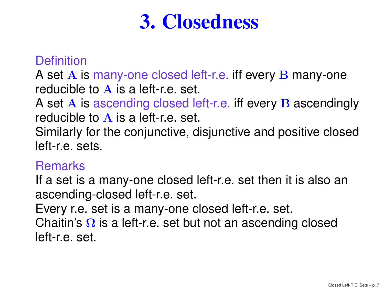## 3. Closedness

### **Definition**

A set A is many-one closed left-r.e. iff every B many-one<br>reducible to A is a left r.e. set reducible to A is a left-r.e. set.<br>A set A is assending closed lo

A set A is ascending closed left-r.e. iff every B ascendingly<br>reducible to A is a left r.e. set reducible to A is a left-r.e. set.<br>Similarly for the conjunctive, d

Similarly for the conjunctive, disjunctive and positive closedleft-r.e. sets.

#### **Remarks**

 If <sup>a</sup> set is <sup>a</sup> many-one closed left-r.e. set then it is also anascending-closed left-r.e. set.

Every r.e. set is <sup>a</sup> many-one closed left-r.e. set. Chaitin's Ω is a left-r.e. set but not an ascending closed<br>left r.e. set left-r.e. set.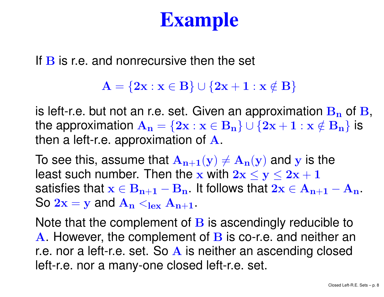# Example

If  ${\bf B}$  is r.e. and nonrecursive then the set

 $\mathbf{A} = \{ \mathbf{2}\mathbf{x} : \mathbf{x} \in \mathbf{B} \} \cup \{ \mathbf{2}\mathbf{x} + \mathbf{1} : \mathbf{x} \notin \mathbf{B} \}$ 

is left-r.e. but not an r.e. set. Given an approximation  $B_n$  of  $B$ , the approximation  $\mathbf{A_n} = \{2\mathbf{x} : \mathbf{x} \in \mathbf{B_n}\} \cup \{2\mathbf{x} + \mathbf{1} : \mathbf{x} \notin \mathbf{B_n}\}$  is then <sup>a</sup> left-r.e. approximation of <sup>A</sup>.

To see this, assume that  $A_{n+1}(y) \neq A_n(y)$  and y is the least such number. Then the x with  $2x \le y \le 2x + 1$ satisfies that  $\mathbf{x} \in \mathbf{B_{n+1}} - \mathbf{B_n}$  . It follows that  $2\mathbf{x} \in \mathbf{A_{n+1}} - \mathbf{A_n}$ .<br>Se  $\mathbf{A_{n+1}} = \mathbf{A_n}$ So  $2x = y$  and  $A_n <sub>lex</sub> A_{n+1}$ .

Note that the complement of **B** is ascendingly reducible to<br>A Hawaver, the complement of **B** is so repeat poitbor are A. However, the complement of B is co-r.e. and neither an<br>reason aloft reasot. So A is poither an association aloned r.e. nor a left-r.e. set. So A is neither an ascending closed<br>loft r.e. nor a many one closed left r.e. set left-r.e. nor <sup>a</sup> many-one closed left-r.e. set.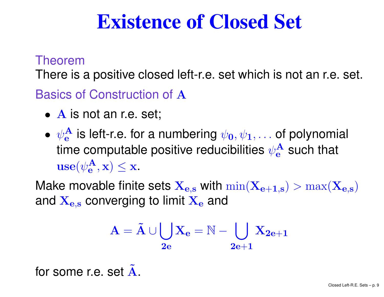## Existence of Closed Set

#### Theorem

There is <sup>a</sup> positive closed left-r.e. set which is not an r.e. set.

Basics of Construction of A

- A is not an r.e. set;
- $\bullet$   $\psi_{\mathbf{e}}^{\mathbf{A}}$ time computable positive reducibilities  $\psi_{\mathbf{e}}^\mathbf{A}$ e $\frac{A}{e}$  is left-r.e. for a numbering  $\psi_0, \psi_1, \ldots$  of polynomial e $\frac{A}{e}$  such that  $\textbf{use}(\psi_{\textbf{e}}^{\textbf{A}}% , \psi_{\textbf{e}}^{\textbf{A}}\cdot \psi_{\textbf{e}}^{\textbf{A}})$  $\left( \begin{matrix} \mathbf{A}\ \mathbf{e},\mathbf{X} \end{matrix} \right) \leq \mathbf{X}.$

Make movable finite sets  $\mathbf{X_{e,s}}$  with  $\min(\mathbf{X_{e+1,s}}) > \max(\mathbf{X_{e,s}})$ and  $\mathbf{X_{e,s}}$  converging to limit  $\mathbf{X_{e}}$ <sub>e</sub> and

$$
\mathrm{A}=\tilde{\mathrm{A}} \cup \bigcup_{\mathrm{\bf{2e}}} \mathrm{X}_{\mathrm{\bf{e}}}=\mathbb{N}-\bigcup_{\mathrm{\bf{2e}}+\mathrm{\bf{1}}} \mathrm{X}_{\mathrm{\bf{2e}}+\mathrm{\bf{1}}}
$$

for some r.e. set  $\tilde{\textbf{A}}$ .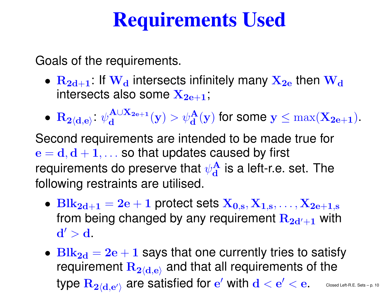# Requirements Used

Goals of the requirements.

- $\bullet$   $\rm\,R_{2d+1}$ : If  $\rm\,W_{d}$ ┓. intersects also some  $\bold {X_{2e+1}}$  ;  $_{\rm d}$  intersects infinitely many  $\rm X_{2e}$  then  $\rm W_{d}$
- $\bullet\,$   $\bf R$  $\mathbf{2}\langle \mathbf{d},\mathbf{e}\rangle\quad \psi$ : $\bf A$ ∪ $\mathbf{X_{2e}}$  $\mathbf{e}+$ 1 $\frac{\mathbf{A}\cup \mathbf{X_{2e+1}}}{\mathbf{d}}(\mathbf{y}) > \psi_\mathbf{d}^\mathbf{A}$  $\frac{\mathbf{A}}{\mathbf{d}}(\mathbf{y})$  for some  $\mathbf{y} \leq \max(\mathbf{X_{2e+1}}).$

Second requirements are intended to be made true for $\mathbf{e}=$ requirements do preserve that  $\psi^\mathbf{A}_\mathbf{d}$  $\mathbf{d}, \mathbf{d+1}, \ldots$  so that updates caused by first d $\frac{A}{d}$  is a left-r.e. set. The following restraints are utilised.

- $\text{Blk}_{2d+1}= 2e+1$  protect sets  $X_{0,s}, X_{1,s}, \ldots, X_{n,s}$ from being changed by any requirement  $\mathbf{R_{2d'+1}}$  wit  $\mathrm{X_{2e+1,s}}$  $_1$  with  $\mathbf{d'} > \mathbf{d}$  .
- $\bullet$   $\rm{Blk}_{2d}$ ILOMAN  $= 2e + 1$  says that one currently tries to satisfy<br> requirement  ${\bf R}$ type  $\rm R_{2/d\,\,\rm eV}$  $_{\bf 2\langle d,e\rangle}$  and that all requirements of the  $_{2/d \text{ s}}$  are satisfied for e  $^\prime$  with  $\mathbf{d}<\mathbf{e}$  $^{\prime} < \mathrm{e}$  .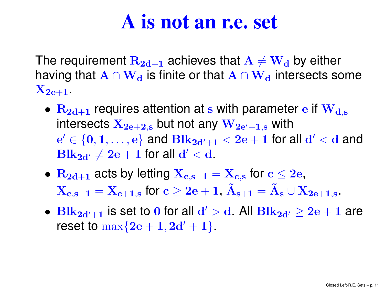### A is not an r.e. set

The requirement  $\rm R_{2d+1}$ IC TIDITO OF THOT A  $\cap$  M  $_1$  achieves that  $\rm A \ne W_d$ having that  $\mathbf{A} \cap \mathbf{W_d}$  is finite or that  $\mathbf{A} \cap \mathbf{W_d}$ <sub>d</sub> by either  $_{\mathbf{d}}$  is finite or that  $\mathbf{A}\cap\mathbf{W}_{\mathbf{d}}$ <sub>d</sub> intersects some  $\mathrm{X_{2e+1}}$  .

- $\bullet$   $\rm\,R_{2d+1}$ intersects  $\mathbf{X_{2e+2,s}}$  but not any  $\mathbf{W_{2e'+1,s}}$  with 1 requires attention at s with parameter e if  $W_{d,s}$  $e' \in \{0, 1, \ldots, e\}$  and  $Blk_{2d'+1} < 2e + 1$  for  $\textbf{Blk}_{\mathbf{2d}'}\neq \mathbf{2e}+\mathbf{1}$  for all  $\mathbf{d}'<\mathbf{d}$ .  $\mathcal{C}' \in \{\mathbf{0},\mathbf{1},\dots,\mathbf{e}\}$  and  $\mathbf{Blk}_{\mathbf{2d'+1}}$  $_{\mathbf{1}} < \mathbf{2}\mathbf{e} + \mathbf{1}$  for all  $\mathbf{d}' < \mathbf{d}$  and
- $\bullet$   $\rm\,R_{2d+1}$  $\mathbf{X_{c,s+1}}=\mathbf{X_{c+1,s}}$  for  $\mathbf{c}\geq\mathbf{2e+1},\,\tilde{\mathbf{A}}_{s+1}=\tilde{\mathbf{A}}_{s}\cup\mathbf{X_{2e+1,s}}.$  $\mathbf{r}_1$  acts by letting  $\mathbf{X_{c,s+1}} = \mathbf{X_{c,s}}$  for  $\mathbf{c} \leq 2\mathbf{e},$
- $\bullet$   $\text{Blk}_{2\text{d}'+}$ reset to  $\max\{2\mathbf{e}+1,2\mathbf{d}'+1\}.$ 11 is set to 0 for all  $d' > d$ . All  $Blk_{2d'} \ge 2e + 1$  are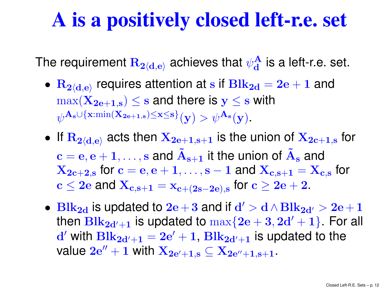### A is <sup>a</sup> positively closed left-r.e. set

The requirement  ${\bf R}$  $_{\mathbf{2}\langle \mathbf{d},\mathbf{e}\rangle}$  achieves that  $\psi^\mathbf{A}_{\mathbf{d}}$ d $\frac{A}{d}$  is a left-r.e. set.

- $\bullet\,$   $\bf R$  $\max(\mathbf{X_{2e+1,s}}) \leq \mathbf{s}$  and there is  $\mathbf{y} \leq \mathbf{s}$  with  $_{\bf{2}\langle d,e\rangle}$  requires attention at  $\bf{s}$  if  $\bf{Blk_{2d}}$  $= 2e + 1$  and  $\psi^{\mathbf{A}_{\mathbf{s}} \cup \{\mathbf{x}:\min(\mathbf{X_{2e+1,s})\leq \mathbf{x}\leq \mathbf{s}\}}(\mathbf{y}) > \psi^{\mathbf{A}_{\mathbf{s}}}$  $_{\mathbf{e}+1,\mathbf{s}}$ ) $\leq$ x $\leq$ s  $\mathbf{s}^{\prime}(\mathbf{y}) > \psi^{\mathbf{A}_{\mathbf{s}}}(\mathbf{y}).$
- $\bullet$  If  $\bf R$ ,我们也不会有什么。""我们的人,我们也不会有什么?""我们的人,我们也不会有什么?""我们的人,我们也不会有什么?""我们的人,我们也不会有什么?""我们的人  $_{\mathbf{2}\langle \mathbf{d},\mathbf{e}\rangle}$  acts then  $\mathbf{X_{2e+1,s+1}}$  $_{\bf 1}$  is the union of  $\mathbf{X_{2c+1,s}}$  for  $\mathbf{c}=\mathbf{e}, \mathbf{e+1}, \dots, \mathbf{s}$  and  $\mathbf{\tilde{A}_{s+1}}$  $\mathbf{X_{2c+2,s}}$  for  $\mathbf{c}=\mathbf{e}, \mathbf{e+1}, \dots, \mathbf{s-1}$  and  $\mathbf{X_{c,s+1}}=\mathbf{X_{c,s}}$  for  $_1$  it the union of  $\tilde{A}_s$  $_{\bf s}$  and  $\sim$  0 and  $\bf{V}$  $f \cap r$  $\mathbf{c} \leq 2\mathbf{e}$  and  $\mathbf{X_{c,s+1}}=\mathbf{x_{c+(2s-2e),s}}$  for  $\mathbf{c}\geq 2\mathbf{e}+2$ .
- Blk<sub>2d</sub> is updated to 2e + 3 and if  $d' > d \wedge B$ lk<sub>2d′</sub> > 2e + 1 then  $\text{Blk}_{2\mathbf{d}'+\mathbf{1}}$  is updated to  $\max\{2\mathbf{e}+3,2\mathbf{d}'+1\}$  . For a  $\mathbf{d}^{\prime}$  with  $\mathbf{Blk}_{\mathbf{2d}^{\prime}+1}=\mathbf{2e}^{\prime}+1,$   $\mathbf{Blk}_{\mathbf{2d}^{\prime}+1}$  is updated 11 is updated to  $\max\{2e+3, 2d'+1\}$  For all value  $2\mathrm{e}''+1$  with  $\mathbf{X_{2e'+1,s}}\subseteq \mathbf{X_{2e''+1,s+1}}$ .  $\mathbf{q}_1 = 2\mathbf{e}' + 1, \, \mathbf{Blk}_{2\mathbf{d}'+1}$  $_1$  is updated to the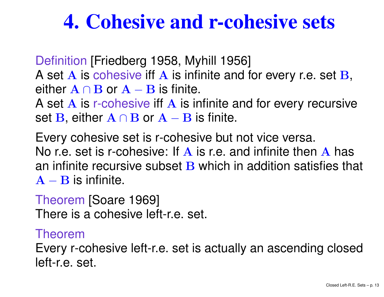## 4. Cohesive and r-cohesive sets

Definition [Friedberg 1958, Myhill 1956] A set A is cohesive iff A is infinite and for every r.e. set B,<br>either A Q B ar A B is finite either A∩B or A – B is finite.<br>A set A is r sebecive iff A is in A IC K-ANDAC

A set A is r-cohesive iff A is infinite and for every recursive<br>set **P** either A o **P** or A **P** is finite set  $\mathbf{B}$ , either  $\mathbf{A}\cap \mathbf{B}$  or  $\mathbf{A}-\mathbf{B}$  is finite.

 Every cohesive set is r-cohesive but not vice versa. No r.e. set is r-cohesive: If A is r.e. and infinite then A has<br>an infinite reqursive subset **P** which in addition satisfies th an infinite recursive subset B which in addition satisfies that<br>An applicipitions  ${\bf A}-{\bf B}$  is infinite.

Theorem [Soare 1969] There is <sup>a</sup> cohesive left-r.e. set.

### Theorem

Every r-cohesive left-r.e. set is actually an ascending closedleft-r.e. set.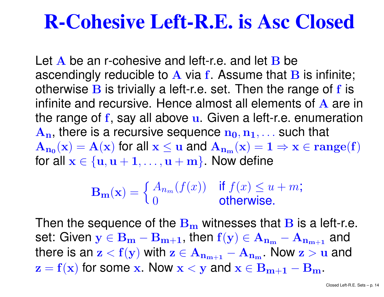### R-Cohesive Left-R.E. is Asc Closed

Let A be an r-cohesive and left-r.e. and let B be<br>ascondingly reducible to A via f. Assume that E ascendingly reducible to A via f. Assume that B is infinite;<br>otherwise B is trivially a loft r.e. sot. Then the range of f is otherwise B is trivially a left-r.e. set. Then the range of f is<br>infinite and requreive. Hence elmeet all elemente of A are infinite and recursive. Hence almost all elements of A are in<br>the range of £ say all above y. Given a left r.e. enumeration the range of **f**, say all above **u**. Given a left-r.e. enumeration  ${\bf A_n},$  there is a recursive sequence  ${\bf n_0}, {\bf n_1}, \dots$  such that  $A_{n_0}(x) = A(x)$  for all  $x \le u$  and  $A_{n_m}(x) = 1 \Rightarrow x \in range(f)$ for all  $\mathbf{x} \in \{\mathbf{u}, \mathbf{u} + \mathbf{1}, \dots, \mathbf{u} + \mathbf{m}\}$ . Now define

$$
\mathbf{B}_{\mathbf{m}}(\mathbf{x}) = \begin{cases} A_{n_m}(f(x)) & \text{if } f(x) \le u + m; \\ 0 & \text{otherwise.} \end{cases}
$$

Then the sequence of the  $\mathbf{B}_{\mathbf{m}}$  $_{\rm m}$  witnesses that B is a left-r.e.<br>then  $\mathbf{f}(\mathbf{x}) \in \Lambda$ set: Given  $\mathbf{y}\in\mathbf{B_{m}}-\mathbf{B_{m+1}},$  then  $\mathbf{f}(\mathbf{y})\in\mathbf{A_{n_m}}-\mathbf{A_{n_{m+1}}}$ there is an  $\mathbf{z} < \mathbf{f}(\mathbf{y})$  with  $\mathbf{z} \in \mathbf{A_{n_{m+1}}}-\mathbf{A_{n_m}}$ . Now  $\mathbf{z} > \mathbf{u}$  and  $_1$  and  $z=f(x)$  for some x. Now  $x < y$  and  $x \in B_{m+1}-B_m$ .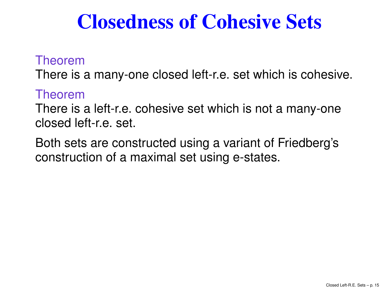## Closedness of Cohesive Sets

Theorem

There is <sup>a</sup> many-one closed left-r.e. set which is cohesive.

Theorem

There is <sup>a</sup> left-r.e. cohesive set which is not <sup>a</sup> many-oneclosed left-r.e. set.

Both sets are constructed using <sup>a</sup> variant of Friedberg'sconstruction of <sup>a</sup> maximal set using e-states.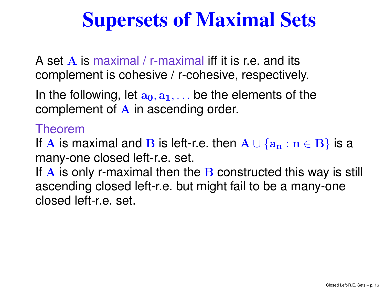# Supersets of Maximal Sets

A set A is maximal / r-maximal iff it is r.e. and its<br>complement is cohosive / r sebesive respectivel complement is cohesive / r-cohesive, respectively.

In the following, let  $\mathbf{a_0}, \mathbf{a_1}, \dots$  be the elements of the complement of  ${\bf A}$  in ascending order.

### Theorem

If A is maximal and B is left-r.e. then  $\mathbf{A} \cup \{ \mathbf{a_n} : \mathbf{n} \in \mathbf{B} \}$  is a<br>many and elecce left r.e. set many-one closed left-r.e. set.

If A is only r-maximal then the B constructed this way is still<br>asconding closed loft r.e. but might fail to be a many one. ascending closed left-r.e. but might fail to be <sup>a</sup> many-oneclosed left-r.e. set.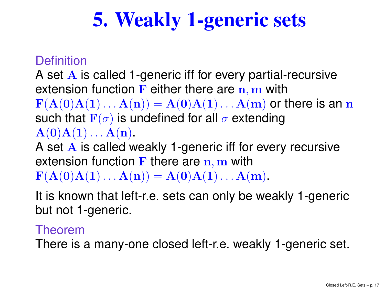# 5. Weakly 1-generic sets

### **Definition**

A set A is called 1-generic iff for every partial-recursive<br>extension function **E** either there are n m With extension function **F** either there are  $n, m$  with<br> $F(A(n)A(1) = A(n)A(1) = A(m)$  or t  $\mathbf{F}(\mathbf{A}(\mathbf{0})\mathbf{A}(\mathbf{1})\dots\mathbf{A}(\mathbf{n}))=\mathbf{A}(\mathbf{0})\mathbf{A}(\mathbf{1})\dots\mathbf{A}(\mathbf{m})$  or there is an  $\mathbf{n}$   $\Gamma(\tau)$ 71 I I **Contract Contract**  $\Omega$   $\sim$   $\Omega$ such that  $\mathbf{F}(\sigma)$  is undefined for all  ${\bf A}({\bf 0}){\bf A}({\bf 1})\ldots {\bf A}({\bf n}).$  $\sigma$  extending

A set A is called weakly 1-generic iff for every recursive<br>extension function **E** there are m with extension function F there are  $n, m$  with<br> $F(A(\Omega) A(1) = A(\Omega) A(1) = A(\Omega)$ 

 $\mathbf{F}(\mathbf{A}(\mathbf{0})\mathbf{A}(\mathbf{1})\dots\mathbf{A}(\mathbf{n})) = \mathbf{A}(\mathbf{0})\mathbf{A}(\mathbf{1})\dots\mathbf{A}(\mathbf{m}).$ 

 It is known that left-r.e. sets can only be weakly 1-genericbut not 1-generic.

#### Theorem

There is <sup>a</sup> many-one closed left-r.e. weakly 1-generic set.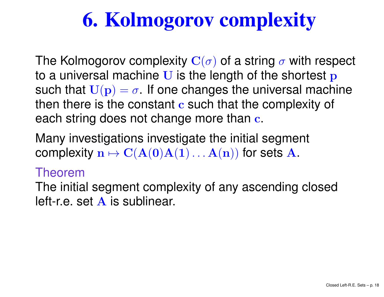# 6. Kolmogorov complexity

The Kolmogorov complexity  $\mathbf{C}(\sigma)$  of a string ヽ + to a universal machine U is the length of the shortest  $\mathbf{p}$ <br>such that  $\Pi(\mathbf{p}) = \boldsymbol{\varepsilon}$ . If and changes the universal mach  $\sigma$  with respect such that  $\mathbf{U}(\mathbf{p})=\sigma.$  If one changes the universal machine then there is the constant  $\mathbf c$  such that the complexity of each string does not change more than  $\mathbf c.$ 

Many investigations investigate the initial segment complexity  $\mathbf{n}\mapsto\mathbf{C}(\mathbf{A}(\mathbf{0})\mathbf{A}(\mathbf{1})\dots\mathbf{A}(\mathbf{n}))$  for sets  $\mathbf{A}.$ 

#### Theorem

The initial segment complexity of any ascending closedleft-r.e. set A is sublinear.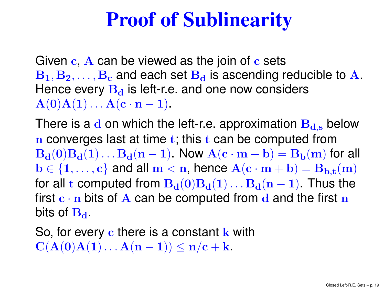# Proof of Sublinearity

Given c, A can be viewed as the join of c sets<br>B. B. C. B. and oach sot B, is asconding r  $\mathbf{B_1}, \mathbf{B_2}, \dots, \mathbf{B_c}$  and each set  $\mathbf{B_d}$  is ascending  $\mathrm B_\mathrm c$  $\frac{\text{c}}{\text{c}}$  and each set  $\text{B}_\text{d}$ d is ascending reducible to A. Hence every  $\mathbf{B_{d}}$  ${\bf A}({\bf 0}){\bf A}({\bf 1})\ldots {\bf A}({\bf c}\cdot{\bf n} - {\bf 1}).$  $_{\mathbf{d}}$  is left-r.e. and one now considers

There is a  ${\bf d}$  on which the left-r.e. approximation  ${\bf B}_{{\bf d},{\bf s}}$  below n converges last at time  $t$ ; this  $t$  can be computed from  $\bf{B}_d(0)B_d(1) \ldots B_d(n-1)$ . Now  $\bf{A}(c \cdot m+b) = B_b(m)$  for all  $\mathbf{L} \subset \mathbf{C}$  $\begin{array}{ccc} \n\begin{array}{ccc} \n\end{array} & \n\begin{array}{ccc} \n\end{array} & \n\begin{array}{ccc} \n\end{array} & \n\begin{array}{ccc} \n\end{array} & \n\begin{array}{ccc} \n\end{array} & \n\end{array}$  $(c, m + h)$  –  $\mathbf{b} \in \{1, \ldots, c\}$  and all  $\mathbf{m} < \mathbf{n}$ , hence  $\mathbf{A}(\mathbf{c} \cdot \mathbf{m} + \mathbf{b}) = \mathbf{B}_{\mathbf{b}, \mathbf{t}}(\mathbf{m})$  $\mathbf{R}$ ,  $(\mathbf{0})\mathbf{R}$ ,  $(\mathbf{1})$   $\mathbf{R}$ ,  $(\mathbf{n}$   $\mathbf{1})$  Thus for all  ${\bf t}$  computed from  ${\bf B_d(0)B_d(1) \dots B_d(n-1)}.$  Thus the  $\Omega$  ho cor first  $\mathbf{c} \cdot \mathbf{n}$  bits of  $\mathbf{A}$  can be computed from  $\mathbf{d}$  and the first  $\mathbf{n}$ <br>bits of  $\mathbf{D}$ bits of  $\mathbf{B}_{\mathbf{d}}$  .

So, for every c there is a constant  $k$  with  $\mathbf{C}(\mathbf{A}(\mathbf{0})\mathbf{A}(\mathbf{1})\dots\mathbf{A}(\mathbf{n} \mathbf{1}))\leq \mathbf{n}/\mathbf{c}+\mathbf{k}.$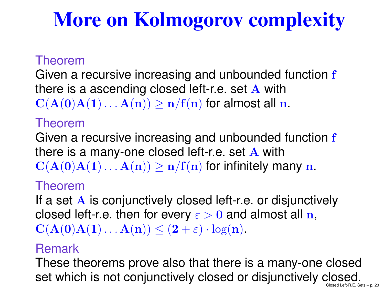# More on Kolmogorov complexity

### Theorem

Given a recursive increasing and unbounded function  ${\bf f}$ there is a ascending closed left-r.e. set  $\bf{A}$  with  $\bf{C}(\bf{A}(\bf{0}),\bf{A}(\bf{1}),\bf{A}(\bf{2})) > \bf{E}(\bf{f}(\bf{r}),$  for almost all  $\bf{r}$  $\mathbf{C}(\mathbf{A}(\mathbf{0})\mathbf{A}(\mathbf{1})\dots\mathbf{A}(\mathbf{n}))\geq \mathbf{n} / \mathbf{f}(\mathbf{n})$  for almost all  $\mathbf{n}$ .

### Theorem

Given a recursive increasing and unbounded function  ${\bf f}$ there is a many-one closed left-r.e. set  $\bf{A}$  with  $\bf{C}(\bf{A}(\bf{0}),\bf{A}(\bf{1}),\bf{A}(\bf{0}))$  $\mathbf{C}(\mathbf{A}(\mathbf{0})\mathbf{A}(\mathbf{1})\dots\mathbf{A}(\mathbf{n}))\geq \mathbf{n} / \mathbf{f}(\mathbf{n})$  for infinitely many  $\mathbf{n}$ .

#### Theorem

If a set A is conjunctively closed left-r.e. or disjunctively<br>closed left r.e. then for every a b 0 and almost all n closed left-r.e. then for every  $\varepsilon > 0$  and almost all n,  $\mathbf{C}(\mathbf{A}(\mathbf{0})\mathbf{A}(\mathbf{1})\dots\mathbf{A}(\mathbf{n})) \leq (2+\varepsilon)\cdot\log(\mathbf{n}).$ 

### Remark

 These theorems prove also that there is <sup>a</sup> many-one closedset which is not conjunctively closed or disjunctively closed.<br>Closed Left-R.E. Sets – p. 20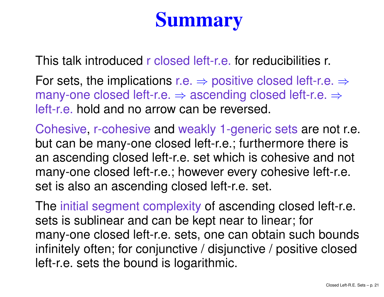# Summary

This talk introduced <sup>r</sup> closed left-r.e. for reducibilities r.

For sets, the implications r.e. ⇒ positive closed left-r.e. ⇒<br>many-one closed left-r.e. → ascending closed left-r.e. → many-one closed left-r.e. ⇒ ascending closed left-r.e. ⇒<br>left-r ല hold and no arrow can be reversed left-r.e. hold and no arrow can be reversed.

Cohesive, r-cohesive and weakly 1-generic sets are not r.e. but can be many-one closed left-r.e.; furthermore there is an ascending closed left-r.e. set which is cohesive and not many-one closed left-r.e.; however every cohesive left-r.e. set is also an ascending closed left-r.e. set.

The initial segment complexity of ascending closed left-r.e. sets is sublinear and can be kept near to linear; for many-one closed left-r.e. sets, one can obtain such bounds infinitely often; for conjunctive / disjunctive / positive closedleft-r.e. sets the bound is logarithmic.